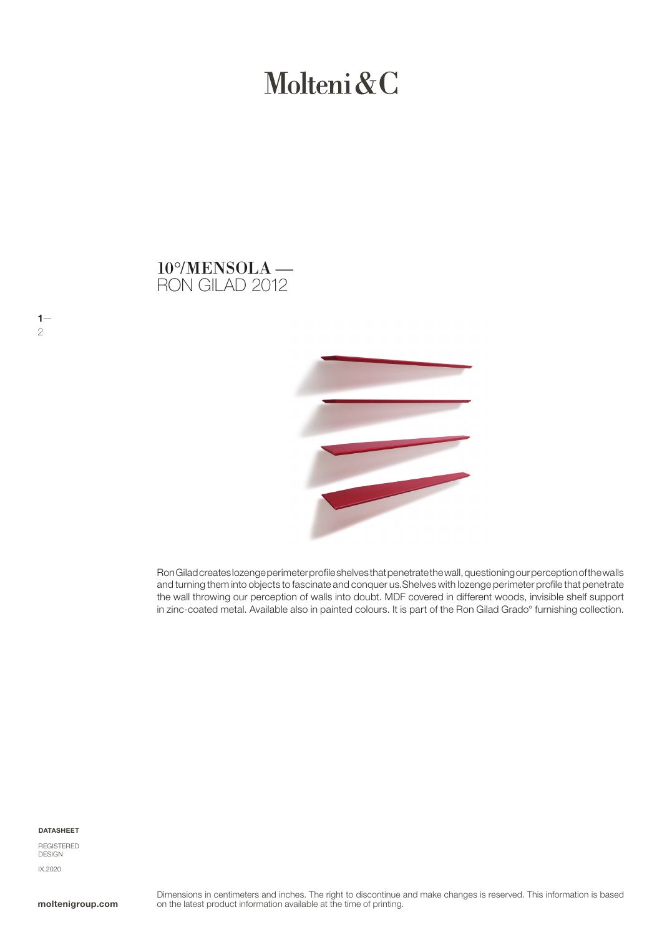# Molteni&C





Ron Gilad creates lozenge perimeter profile shelves that penetrate the wall, questioning our perception of the walls and turning them into objects to fascinate and conquer us.Shelves with lozenge perimeter profile that penetrate the wall throwing our perception of walls into doubt. MDF covered in different woods, invisible shelf support in zinc-coated metal. Available also in painted colours. It is part of the Ron Gilad Grado° furnishing collection.

#### DATASHEET

 $1-$ 

2

REGISTERED **DESIGN** IX.2020